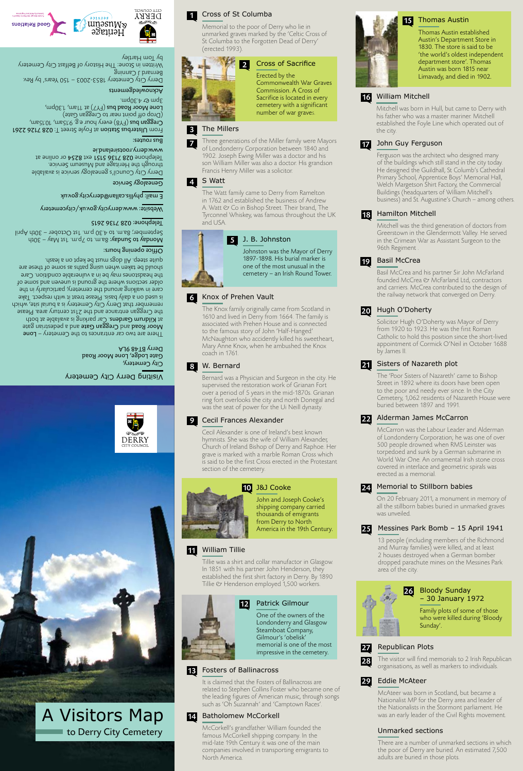

#### by Tom Hartley



Memorial to the poor of Derry who lie in unmarked graves marked by the 'Celtic Cross of St Columba to the Forgotten Dead of Derry' (erected 1993).

> Mitchell was the third generation of doctors from Greerstown in the Glendermott Valley. He served in the Crimean War as Assistant Surgeon to the 96th Regiment .

The Knox family originally came from Scotland in 1610 and lived in Derry from 1664. The family is associated with Prehen House and is connected to the famous story of John 'Half-Hanged' McNaughton who accidently killed his sweetheart, Mary Anne Knox, when he ambushed the Knox coach in 1761.

## 8 W. Bernard **21**

Tillie was a shirt and collar manufactor in Glasgow. In 1851 with his partner John Henderson, they established the first shirt factory in Derry. By 1890 Tillie & Henderson employed 1,500 workers.

It is claimed that the Fosters of Ballinacross are related to Stephen Collins Foster who became one of the leading figures of American music, through songs such as 'Oh Suzannah' and 'Camptown Races'

Three generations of the Miller family were Mayors of Londonderry Corporation between 1840 and 1902. Joseph Ewing Miller was a doctor and his son William Miller was also a doctor. His grandson Francis Henry Miller was a solicitor.

## Memorial to Stillborn babies

On 20 February 2011, a monument in memory of all the stillborn babies buried in unmarked graves

was unveiled.

Basil McCrea and his partner Sir John McFarland founded McCrea & McFarland Ltd, contractors and carriers. McCrea contributed to the design of the railway network that converged on Derry.



Mitchell was born in Hull, but came to Derry with his father who was a master mariner. Mitchell established the Foyle Line which operated out of

the city.

Cecil Alexander is one of Ireland's best known hymnists. She was the wife of William Alexander, Church of Ireland Bishop of Derry and Raphoe. Her grave is marked with a marble Roman Cross which is said to be the first Cross erected in the Protestant section of the cemetery.

#### Hamilton Mitchell 18

13 people (including members of the Richmond and Murray families) were killed, and at least 2 houses destroyed when a German bomber dropped parachute mines on the Messines Park area of the city.

#### The Millers 3

Ferguson was the architect who designed many of the buildings which still stand in the city today. He designed the Guildhall, St Columb's Cathedral Primary School, Apprentice Boys' Memorial Hall, Welch Margetson Shirt Factory, the Commercial Buildings (headquarters of William Mitchell's business) and St. Augustine's Church – among others.

#### Knox of Prehen Vault 6

#### William Tillie 11

## Unmarked sections

#### Fosters of Ballinacross 13

There are a number of unmarked sections in which the poor of Derry are buried. An estimated 7,500 adults are buried in those plots.

#### City Cemetery, Gate Lodge, Lone Moor Road Derry BT48 9LA

The Watt family came to Derry from Ramelton in 1762 and established the business of Andrew A. Watt  $\mathfrak O$  Co in Bishop Street. Their brand, The Tyrconnel Whiskey, was famous throughout the UK and USA.



## 5 J. B. Johnston

#### Basil McCrea 19

There are two car entrances to the Cemetery – Lone Moor Road and Creggan Gate and a pedestrian gate at Kildrum Gardens. Car parking is available at both the Creggan entrance and the 21st century area. Please remember that Derry City Cemetery is a burial site, which is used on a daily basis. Please treat it with respect. Take care in walking around the cemetery, particularly in the older sections where the ground is uneven and some of the headstones may be in a vulnerable condition. Care should be taken when using paths as some of these are quite steep. All dogs must be kept on a leash.

> Bernard was a Physician and Surgeon in the city. He supervised the restoration work of Grianan Fort over a period of 5 years in the mid-1870s. Grianan ring fort overlooks the city and north Donegal and was the seat of power for the Ui Neill dynasty.

## Alderman James McCarron

#### Cecil Frances Alexander 9

#### Messines Park Bomb – 15 April 1941 25

McCarron was the Labour Leader and Alderman of Londonderry Corporation; he was one of over 500 people drowned when RMS Leinster was torpedoed and sunk by a German submarine in World War One. An ornamental Irish stone cross covered in interlace and geometric spirals was erected as a memorial.

#### S Watt 4

#### John Guy Ferguson 17

## Republican Plots

The visitor will find memorials to 2 Irish Republican organisations, as well as markers to individuals.

## Cross of Sacrifice

Erected by the Commonwealth War Graves Commission. A Cross of Sacrifice is located in every cemetery with a significant number of war graves.





One of the owners of the Londonderry and Glasgow Steamboat Company, Gilmour's 'obelisk'

memorial is one of the most impressive in the cemetery.

16





shipping company carried thousands of emigrants from Derry to North America in the 19th Century.

7

## Thomas Austin



## 24

## Bloody Sunday – 30 January 1972

Family plots of some of those who were killed during 'Bloody Sunday'.



## Sisters of Nazareth plot

The 'Poor Sisters of Nazareth' came to Bishop Street in 1892 where its doors have been open to the poor and needy ever since. In the City Cemetery, 1,062 residents of Nazareth House were buried between 1897 and 1991.

#### 20 Hugh O'Doherty

22

Johnston was the Mayor of Derry 1897-1898. His burial marker is one of the most unusual in the cemetery – an Irish Round Tower.

> McAteer was born in Scotland, but became a Nationalist MP for the Derry area and leader of the Nationalists in the Stormont parliament. He was an early leader of the Civil Rights movement.

Solicitor Hugh O'Doherty was Mayor of Derry from 1920 to 1923. He was the first Roman Catholic to hold this position since the short-lived appointment of Cormick O'Neil in October 1688 by James II.

#### Eddie McAteer 29

#### Batholomew McCorkell 14

McCorkell's grandfather William founded the famous McCorkell shipping company. In the mid-late 19th Century it was one of the main companies involved in transporting emigrants to North America.



27

# to Derry City Cemetery A Visitors Map

Visiting Derry City Cemetery



#### www.derrycity.gov.uk/citycemetery Website:

#### Telephone: 028 7136 2615

 $440\epsilon$  –  $4\epsilon$  a.m. is  $1\epsilon$  must must must may not  $\epsilon$ September; 8a.m. to 4.30 p.m. 1st October – 30th April

## $S$ anoug Buius hours:

phyllis.callan@derrycity.gov.uk E mail:

Derry City Council's genealogy service is available through the Heritage and Museum Service. Telephone 028 7136 5151 ext 8254 or online at www.derry.rootsireland.ie

#### Genealogy Service

### Acknowledgements

From Ulsterbus Station at Foyle Street T: 028 7126 2261 **Creggan bus** (FY8) every hour e.g. 9.15am, 10.15am, (Drop of point near to Creggan Gate) Lone Moor Road bus  $(\sqrt{YY})$  at 11am, 1.30pm, . $mod 0$ £.4.30 mg.

#### $\overline{\text{supp} \cup \text{supp}$

Derry City Cemetery 1853-2003 – 150 Years' by Rev. Bernard J Canning Written in Stone: The History of Belfast City Cemetery